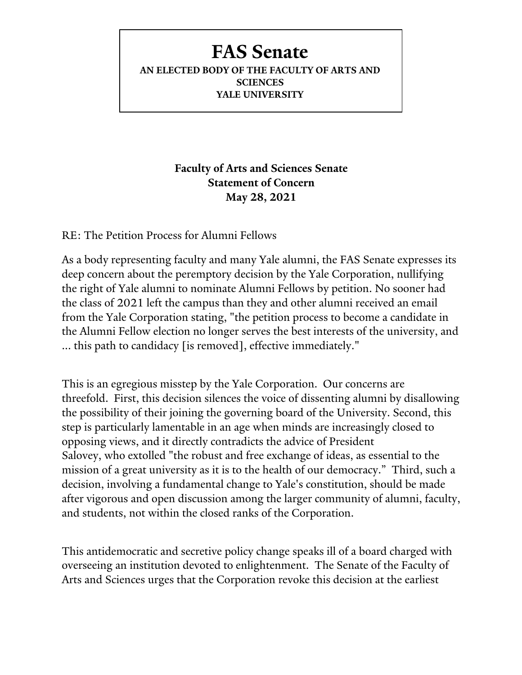## **FAS Senate**

**AN ELECTED BODY OF THE FACULTY OF ARTS AND SCIENCES YALE UNIVERSITY**

> **Faculty of Arts and Sciences Senate Statement of Concern May 28, 2021**

RE: The Petition Process for Alumni Fellows

As a body representing faculty and many Yale alumni, the FAS Senate expresses its deep concern about the peremptory decision by the Yale Corporation, nullifying the right of Yale alumni to nominate Alumni Fellows by petition. No sooner had the class of 2021 left the campus than they and other alumni received an email from the Yale Corporation stating, "the petition process to become a candidate in the Alumni Fellow election no longer serves the best interests of the university, and ... this path to candidacy [is removed], effective immediately."

This is an egregious misstep by the Yale Corporation. Our concerns are threefold. First, this decision silences the voice of dissenting alumni by disallowing the possibility of their joining the governing board of the University. Second, this step is particularly lamentable in an age when minds are increasingly closed to opposing views, and it directly contradicts the advice of President Salovey, who extolled "the robust and free exchange of ideas, as essential to the mission of a great university as it is to the health of our democracy." Third, such a decision, involving a fundamental change to Yale's constitution, should be made after vigorous and open discussion among the larger community of alumni, faculty, and students, not within the closed ranks of the Corporation.

This antidemocratic and secretive policy change speaks ill of a board charged with overseeing an institution devoted to enlightenment. The Senate of the Faculty of Arts and Sciences urges that the Corporation revoke this decision at the earliest